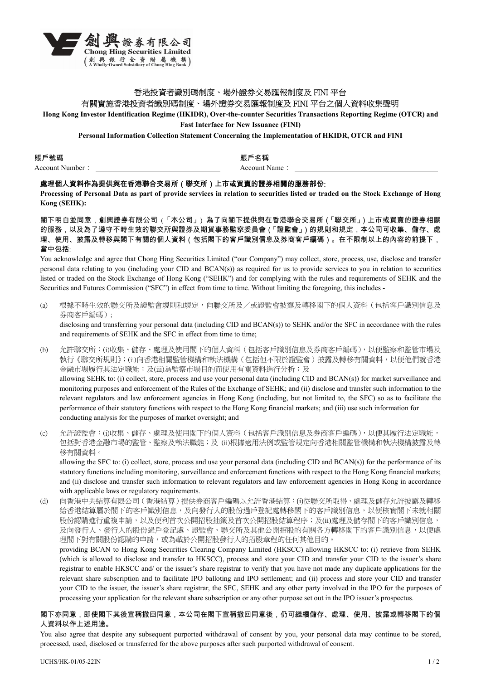

## 香港投資者識別碼制度、場外證券交易匯報制度及 FINI 平台

有關實施香港投資者識別碼制度、場外證券交易匯報制度及 FINI 平台之個人資料收集聲明

Hong Kong Investor Identification Regime (HKIDR), Over-the-counter Securities Transactions Reporting Regime (OTCR) and Fast Interface for New Issuance (FINI)

Personal Information Collection Statement Concerning the Implementation of HKIDR, OTCR and FINI

賬戶號碼 Account Number: 賬戶名稱

Account Name:

# 處理個人資料作為提供與在香港聯合交易所(聯交所)上市或買賣的證券相關的服務部份:

Processing of Personal Data as part of provide services in relation to securities listed or traded on the Stock Exchange of Hong Kong (SEHK):

閣下明白並同意,創興證券有限公司 (「本公司」) 為了向閣下提供與在香港聯合交易所(「聯交所」)上市或買賣的證券相關 的服務,以及為了遵守不時生效的聯交所與證券及期貨事務監察委員會(「證監會」)的規則和規定,本公司可收集、儲存、處 理、使用、披露及轉移與閣下有關的個人資料(包括閣下的客戶識別信息及券商客戶編碼)。在不限制以上的內容的前提下, 當中包括:

You acknowledge and agree that Chong Hing Securities Limited ("our Company") may collect, store, process, use, disclose and transfer personal data relating to you (including your CID and BCAN(s)) as required for us to provide services to you in relation to securities listed or traded on the Stock Exchange of Hong Kong ("SEHK") and for complying with the rules and requirements of SEHK and the Securities and Futures Commission ("SFC") in effect from time to time. Without limiting the foregoing, this includes -

(a) 根據不時生效的聯交所及證監會規則和規定,向聯交所及/或證監會披露及轉移閣下的個人資料(包括客戶識別信息及 券商客戶編碼); disclosing and transferring your personal data (including CID and BCAN(s)) to SEHK and/or the SFC in accordance with the rules

and requirements of SEHK and the SFC in effect from time to time;

- (b) 允許聯交所:(i)收集、儲存、處理及使用閣下的個人資料(包括客戶識別信息及券商客戶編碼),以便監察和監管市場及 執行《聯交所規則》;(ii)向香港相關監管機構和執法機構(包括但不限於證監會)披露及轉移有關資料,以便他們就香港 金融市場履行其法定職能;及(iii)為監察市場目的而使用有關資料進行分析;及 allowing SEHK to: (i) collect, store, process and use your personal data (including CID and BCAN(s)) for market surveillance and monitoring purposes and enforcement of the Rules of the Exchange of SEHK; and (ii) disclose and transfer such information to the relevant regulators and law enforcement agencies in Hong Kong (including, but not limited to, the SFC) so as to facilitate the performance of their statutory functions with respect to the Hong Kong financial markets; and (iii) use such information for conducting analysis for the purposes of market oversight; and
- (c) 允許證監會:(i)收集、儲存、處理及使用閣下的個人資料(包括客戶識別信息及券商客戶編碼),以便其履行法定職能, 包括對香港金融市場的監管、監察及執法職能;及 (ii)根據適用法例或監管規定向香港相關監管機構和執法機構披露及轉 移有關資料。

allowing the SFC to: (i) collect, store, process and use your personal data (including CID and BCAN(s)) for the performance of its statutory functions including monitoring, surveillance and enforcement functions with respect to the Hong Kong financial markets; and (ii) disclose and transfer such information to relevant regulators and law enforcement agencies in Hong Kong in accordance with applicable laws or regulatory requirements.

(d) 向香港中央結算有限公司(香港結算)提供券商客戶編碼以允許香港結算:(i)從聯交所取得、處理及儲存允許披露及轉移 給香港結算屬於閣下的客戶識別信息,及向發行人的股份過戶登記處轉移閣下的客戶識別信息,以便核實閣下未就相關 股份認購進行重複申請,以及便利首次公開招股抽籤及首次公開招股結算程序;及(ii)處理及儲存閣下的客戶識別信息, 及向發行人、發行人的股份過戶登記處、證監會、聯交所及其他公開招股的有關各方轉移閣下的客戶識別信息,以便處 理閣下對有關股份認購的申請,或為載於公開招股發行人的招股章程的任何其他目的。 providing BCAN to Hong Kong Securities Clearing Company Limited (HKSCC) allowing HKSCC to: (i) retrieve from SEHK (which is allowed to disclose and transfer to HKSCC), process and store your CID and transfer your CID to the issuer's share registrar to enable HKSCC and/ or the issuer's share registrar to verify that you have not made any duplicate applications for the relevant share subscription and to facilitate IPO balloting and IPO settlement; and (ii) process and store your CID and transfer your CID to the issuer, the issuer's share registrar, the SFC, SEHK and any other party involved in the IPO for the purposes of processing your application for the relevant share subscription or any other purpose set out in the IPO issuer's prospectus.

## 閣下亦同意,即使閣下其後宣稱撤回同意,本公司在閣下宣稱撤回同意後,仍可繼續儲存、處理、使用、披露或轉移閣下的個 人資料以作上述用途。

You also agree that despite any subsequent purported withdrawal of consent by you, your personal data may continue to be stored, processed, used, disclosed or transferred for the above purposes after such purported withdrawal of consent.